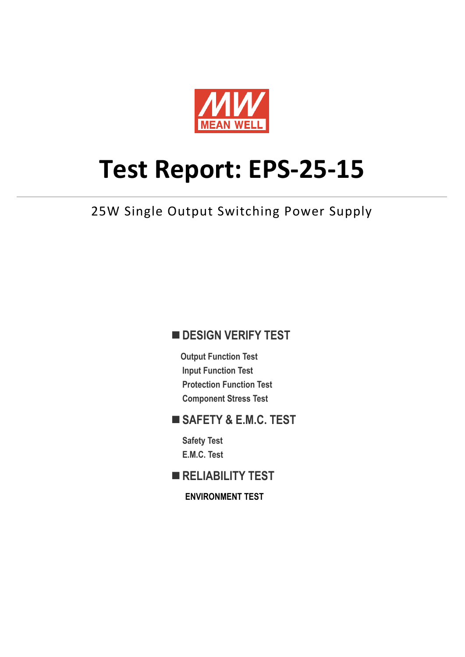

# **Test Report: EPS‐25‐15**

# 25W Single Output Switching Power Supply

#### **DESIGN VERIFY TEST**

**Output Function Test Input Function Test Protection Function Test Component Stress Test** 

#### **SAFETY & E.M.C. TEST**

**Safety Test E.M.C. Test** 

**RELIABILITY TEST** 

**ENVIRONMENT TEST**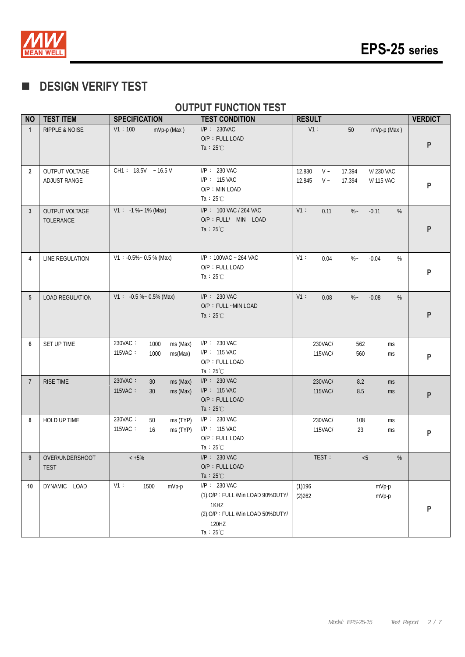

### **DESIGN VERIFY TEST**

#### **OUTPUT FUNCTION TEST**

| <b>NO</b>      | <b>TEST ITEM</b>                   | <b>SPECIFICATION</b>                                      | <b>TEST CONDITION</b>                                                                                                        | <b>RESULT</b>                                                                                 | <b>VERDICT</b> |
|----------------|------------------------------------|-----------------------------------------------------------|------------------------------------------------------------------------------------------------------------------------------|-----------------------------------------------------------------------------------------------|----------------|
| $\mathbf{1}$   | <b>RIPPLE &amp; NOISE</b>          | V1:100<br>mVp-p (Max)                                     | $I/P$ : 230VAC<br>O/P: FULL LOAD<br>Ta : $25^{\circ}$ C                                                                      | V1:<br>$50\,$<br>mVp-p (Max)                                                                  | P              |
| $\overline{2}$ | OUTPUT VOLTAGE<br>ADJUST RANGE     | CH1: $13.5V - 16.5V$                                      | $I/P$ : 230 VAC<br>I/P: 115 VAC<br>O/P: MIN LOAD<br>Ta : $25^{\circ}$ C                                                      | 12.830<br>$V \sim$<br>17.394<br>V/230 VAC<br>12.845<br>$V \sim$<br>17.394<br><b>V/115 VAC</b> | P              |
| 3              | <b>OUTPUT VOLTAGE</b><br>TOLERANCE | $V1: -1 % ~ 1% (Max)$                                     | I/P: 100 VAC / 264 VAC<br>O/P : FULL/ MIN LOAD<br>Ta : $25^{\circ}$ C                                                        | V1:<br>0.11<br>$% -$<br>$-0.11$<br>%                                                          | P              |
| 4              | LINE REGULATION                    | $V1: -0.5\% \sim 0.5\%$ (Max)                             | I/P: 100VAC ~ 264 VAC<br>O/P: FULL LOAD<br>Ta : $25^{\circ}$ C                                                               | V1:<br>$\%$ –<br>$-0.04$<br>%<br>0.04                                                         | P              |
| 5              | <b>LOAD REGULATION</b>             | $V1: -0.5 % ~ 0.5%$ (Max)                                 | $I/P$ : 230 VAC<br>O/P: FULL ~MIN LOAD<br>Ta : $25^{\circ}$ C                                                                | $V1$ :<br>$\%$ ~<br>%<br>0.08<br>$-0.08$                                                      | P              |
| 6              | SET UP TIME                        | 230VAC:<br>ms (Max)<br>1000<br>115VAC:<br>1000<br>ms(Max) | I/P: 230 VAC<br>I/P: 115 VAC<br>O/P: FULL LOAD<br>Ta : $25^{\circ}$ C                                                        | 230VAC/<br>562<br>ms<br>115VAC/<br>560<br>ms                                                  | P              |
| $\overline{7}$ | RISE TIME                          | 230VAC:<br>30<br>ms (Max)<br>115VAC:<br>30<br>ms (Max)    | $I/P$ : 230 VAC<br>$I/P$ : 115 VAC<br>O/P: FULL LOAD<br>Ta : $25^{\circ}$ C                                                  | 230VAC/<br>8.2<br>ms<br>115VAC/<br>$8.5\,$<br>ms                                              | P              |
| 8              | HOLD UP TIME                       | 230VAC:<br>50<br>ms (TYP)<br>115VAC:<br>ms (TYP)<br>16    | $I/P$ : 230 VAC<br>I/P: 115 VAC<br>O/P: FULL LOAD<br>Ta : $25^{\circ}$ C                                                     | 230VAC/<br>108<br>ms<br>115VAC/<br>23<br>ms                                                   | P              |
| 9              | OVER/UNDERSHOOT<br><b>TEST</b>     | $< +5\%$                                                  | $I/P$ : 230 VAC<br>O/P: FULL LOAD<br>Ta : $25^{\circ}$ C                                                                     | TEST:<br>$\%$<br>< 5                                                                          |                |
| 10             | DYNAMIC LOAD                       | V1:<br>1500<br>mVp-p                                      | I/P: 230 VAC<br>(1).O/P: FULL /Min LOAD 90%DUTY/<br>1KHZ<br>(2).O/P: FULL /Min LOAD 50%DUTY/<br>120HZ<br>Ta : $25^{\circ}$ C | (1)196<br>mVp-p<br>(2)262<br>mVp-p                                                            | P              |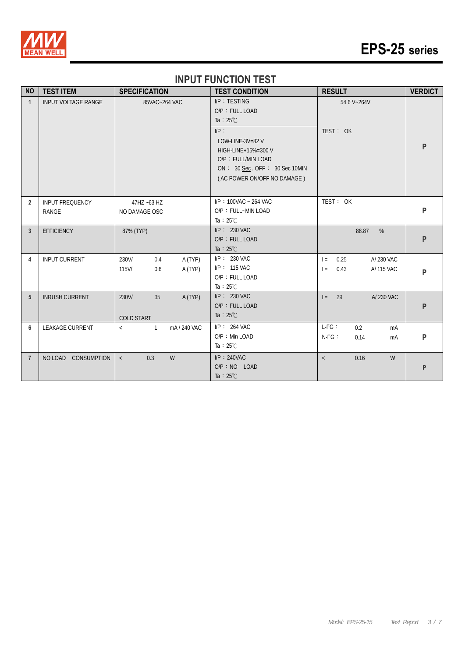

# **EPS-25 series**

#### **INPUT FUNCTION TEST**

| <b>NO</b>      | <b>TEST ITEM</b>                | <b>SPECIFICATION</b>                                  | <b>TEST CONDITION</b>                                                                                                                                                                         | <b>RESULT</b>                                         | <b>VERDICT</b> |
|----------------|---------------------------------|-------------------------------------------------------|-----------------------------------------------------------------------------------------------------------------------------------------------------------------------------------------------|-------------------------------------------------------|----------------|
| $\mathbf{1}$   | <b>INPUT VOLTAGE RANGE</b>      | 85VAC~264 VAC                                         | I/P: TESTING<br>O/P: FULL LOAD<br>Ta : $25^{\circ}$ C<br>IP:<br>LOW-LINE-3V=82 V<br>HIGH-LINE+15%=300 V<br>O/P: FULL/MIN LOAD<br>ON: 30 Sec. OFF: 30 Sec 10MIN<br>(AC POWER ON/OFF NO DAMAGE) | 54.6 V~264V<br>TEST: OK                               | P              |
| $\overline{2}$ | <b>INPUT FREQUENCY</b><br>RANGE | 47HZ ~63 HZ<br>NO DAMAGE OSC                          | I/P: 100VAC ~ 264 VAC<br>O/P: FULL~MIN LOAD<br>Ta $:25^{\circ}$ C                                                                                                                             | TEST: OK                                              | P              |
| 3              | <b>EFFICIENCY</b>               | 87% (TYP)                                             | $I/P: 230$ VAC<br>O/P: FULL LOAD<br>Ta : $25^{\circ}$ C                                                                                                                                       | 88.87<br>$\%$                                         | P              |
| 4              | <b>INPUT CURRENT</b>            | 230V/<br>A (TYP)<br>0.4<br>$115$ V/<br>A (TYP)<br>0.6 | I/P: 230 VAC<br>I/P: 115 VAC<br>O/P: FULL LOAD<br>Ta : $25^{\circ}$ C                                                                                                                         | A/230 VAC<br>0.25<br>$=$<br>0.43<br>A/ 115 VAC<br>$=$ | P              |
| 5              | <b>INRUSH CURRENT</b>           | 230V/<br>35<br>A (TYP)<br><b>COLD START</b>           | $I/P$ : 230 VAC<br>O/P: FULL LOAD<br>Ta : $25^{\circ}$ C                                                                                                                                      | A/230 VAC<br>$I = 29$                                 | P              |
| 6              | <b>LEAKAGE CURRENT</b>          | mA / 240 VAC<br>$\overline{1}$<br>$\langle$           | $I/P$ : 264 VAC<br>$O/P$ : Min LOAD<br>Ta : $25^{\circ}$ C                                                                                                                                    | $L-FG$ :<br>0.2<br>mA<br>$N-FG$ :<br>0.14<br>mA       | P              |
| $\overline{7}$ | NO LOAD CONSUMPTION             | W<br>0.3<br>$\,<\,$                                   | $I/P$ : 240VAC<br>$O/P : NO$ LOAD<br>Ta : $25^{\circ}$ C                                                                                                                                      | 0.16<br>W<br>$\,<\,$                                  | P              |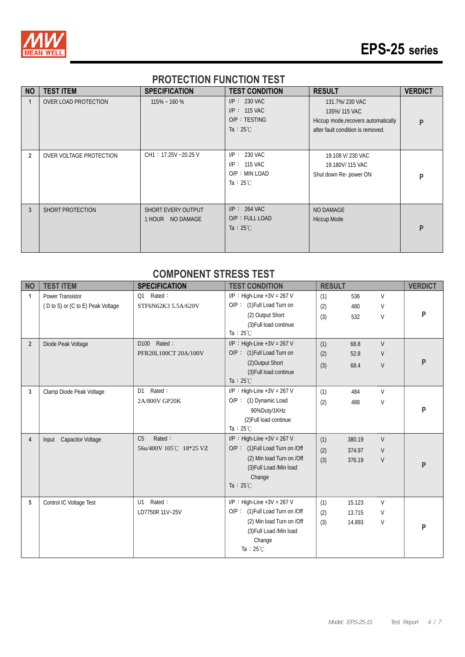

# **EPS-25 series**

#### **PROTECTION FUNCTION TEST**

| <b>NO</b>      | <b>TEST ITEM</b>            | <b>SPECIFICATION</b>                          | <b>TEST CONDITION</b>                                                      | <b>RESULT</b>                                                                                              | <b>VERDICT</b> |
|----------------|-----------------------------|-----------------------------------------------|----------------------------------------------------------------------------|------------------------------------------------------------------------------------------------------------|----------------|
|                | <b>OVER LOAD PROTECTION</b> | $115\% - 160\%$                               | $I/P: 230$ VAC<br>$I/P: 115$ VAC<br>O/P: TESTING<br>Ta : $25^{\circ}$ C    | 131.7%/230 VAC<br>135%/115 VAC<br>Hiccup mode, recovers automatically<br>after fault condition is removed. | P              |
| $\overline{2}$ | OVER VOLTAGE PROTECTION     | CH1: 17.25V ~20.25 V                          | $I/P$ : 230 VAC<br>$I/P$ : 115 VAC<br>O/P: MIN LOAD<br>Ta : $25^{\circ}$ C | 19.108 V/ 230 VAC<br>19.180V/115 VAC<br>Shut down Re- power ON                                             | P              |
| 3              | <b>SHORT PROTECTION</b>     | <b>SHORT EVERY OUTPUT</b><br>1 HOUR NO DAMAGE | $I/P$ : 264 VAC<br>O/P: FULL LOAD<br>Ta : $25^{\circ}$ C                   | NO DAMAGE<br><b>Hiccup Mode</b>                                                                            | P              |

#### **COMPONENT STRESS TEST**

| <b>NO</b>      | <b>TEST ITEM</b>                  | <b>SPECIFICATION</b>       | <b>TEST CONDITION</b>           | <b>RESULT</b> |        |        | <b>VERDICT</b> |
|----------------|-----------------------------------|----------------------------|---------------------------------|---------------|--------|--------|----------------|
| 1              | Power Transistor                  | Rated:<br>Q1               | $I/P$ : High-Line +3V = 267 V   | (1)           | 536    | $\vee$ |                |
|                | (D to S) or (C to E) Peak Voltage | STF6N62K3 5.5A/620V        | O/P: (1) Full Load Turn on      | (2)           | 480    | V      |                |
|                |                                   |                            | (2) Output Short                | (3)           | 532    | V      | P              |
|                |                                   |                            | (3) Full load continue          |               |        |        |                |
|                |                                   |                            | Ta: $25^{\circ}$ C              |               |        |        |                |
| $\overline{2}$ | Diode Peak Voltage                | Rated:<br>D <sub>100</sub> | $I/P$ : High-Line +3V = 267 V   | (1)           | 68.8   | $\vee$ |                |
|                |                                   | PFR20L100CT 20A/100V       | O/P: (1) Full Load Turn on      | (2)           | 52.8   | V      |                |
|                |                                   |                            | (2) Output Short                | (3)           | 68.4   | $\vee$ | P              |
|                |                                   |                            | (3) Full load continue          |               |        |        |                |
|                |                                   |                            | Ta: $25^{\circ}$ C              |               |        |        |                |
| 3              | Clamp Diode Peak Voltage          | Rated:<br>D <sub>1</sub>   | $I/P$ : High-Line +3V = 267 V   | (1)           | 484    | $\vee$ |                |
|                |                                   | 2A/800V GP20K              | O/P: (1) Dynamic Load           | (2)           | 488    | $\vee$ |                |
|                |                                   |                            | 90%Duty/1KHz                    |               |        |        | Þ              |
|                |                                   |                            | (2) Full load continue          |               |        |        |                |
|                |                                   |                            | Ta: $25^{\circ}$ C              |               |        |        |                |
| 4              | Input Capacitor Voltage           | C <sub>5</sub><br>Rated:   | $I/P$ : High-Line +3V = 267 V   | (1)           | 380.19 | $\vee$ |                |
|                |                                   | 56u/400V 105℃ 18*25 VZ     | O/P: (1) Full Load Turn on /Off | (2)           | 374.97 | V      |                |
|                |                                   |                            | (2) Min load Turn on /Off       | (3)           | 376.19 | $\vee$ | P              |
|                |                                   |                            | (3) Full Load /Min load         |               |        |        |                |
|                |                                   |                            | Change                          |               |        |        |                |
|                |                                   |                            | Ta: $25^{\circ}$ C              |               |        |        |                |
| 5              | Control IC Voltage Test           | Rated:<br>U1               | $I/P$ : High-Line +3V = 267 V   | (1)           | 15.123 | $\vee$ |                |
|                |                                   | LD7750R 11V~25V            | O/P: (1) Full Load Turn on /Off | (2)           | 13.715 | V      |                |
|                |                                   |                            | (2) Min load Turn on /Off       | (3)           | 14.893 | V      |                |
|                |                                   |                            | (3) Full Load /Min load         |               |        |        | P              |
|                |                                   |                            | Change                          |               |        |        |                |
|                |                                   |                            | Ta: $25^{\circ}$ C              |               |        |        |                |
|                |                                   |                            |                                 |               |        |        |                |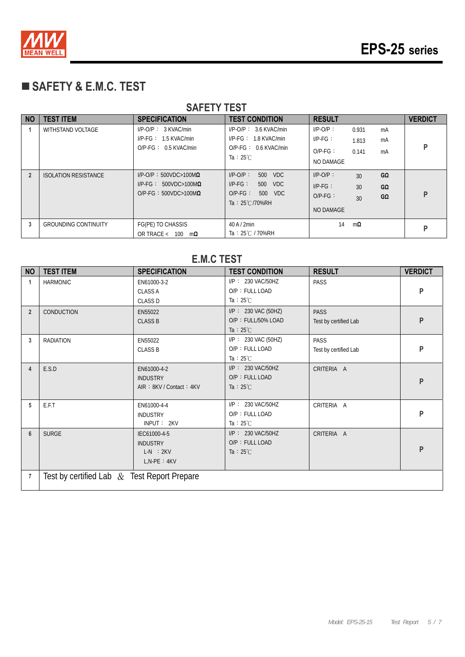

# **SAFETY & E.M.C. TEST**

|                | <b>SAFEIY IESI</b>          |                                                                                                         |                                                                                                             |                                                                                                   |                |  |  |
|----------------|-----------------------------|---------------------------------------------------------------------------------------------------------|-------------------------------------------------------------------------------------------------------------|---------------------------------------------------------------------------------------------------|----------------|--|--|
| <b>NO</b>      | <b>TEST ITEM</b>            | <b>SPECIFICATION</b>                                                                                    | <b>TEST CONDITION</b>                                                                                       | <b>RESULT</b>                                                                                     | <b>VERDICT</b> |  |  |
|                | WITHSTAND VOLTAGE           | $I/P-O/P$ : $3$ KVAC/min<br>$I/P\text{-}FG: 1.5 KVAC/min$<br>$O/P$ -FG: 0.5 KVAC/min                    | $I/P$ -O/P : 3.6 KVAC/min<br>$I/P\text{-}FG: 1.8$ KVAC/min<br>$O/P-FG: 0.6$ KVAC/min<br>Ta : $25^{\circ}$ C | $I/P-O/P$ :<br>0.931<br>mA<br>$I/P-FG$ :<br>mA<br>1.813<br>$O/P-FG$ :<br>0.141<br>mA<br>NO DAMAGE | P              |  |  |
| $\overline{2}$ | <b>ISOLATION RESISTANCE</b> | $I/P$ -O/P: 500VDC>100M $\Omega$<br>$I/P\text{-FG}: 500VDC > 100M\Omega$<br>$O/P-FG: 500VDC>100M\Omega$ | $I/P$ - $O/P$ :<br>500 VDC<br>$I/P-FG$ :<br>500 VDC<br>$O/P-FG$ :<br>500 VDC<br>Ta: 25°C/70%RH              | $I/P-O/P$ :<br>GΩ<br>30<br>$I/P-FG$ :<br>30<br>$G\Omega$<br>$O/P-FG$ :<br>GΩ<br>30<br>NO DAMAGE   | P              |  |  |
| 3              | <b>GROUNDING CONTINUITY</b> | FG(PE) TO CHASSIS<br>OR TRACE < $100 \text{ m}\Omega$                                                   | $40$ A $/$ 2min<br>Ta: 25℃ / 70%RH                                                                          | 14<br>mΩ                                                                                          | p              |  |  |

|                | <b>E.M.C TEST</b>                              |                                                              |                                                                  |                                      |                |  |  |  |
|----------------|------------------------------------------------|--------------------------------------------------------------|------------------------------------------------------------------|--------------------------------------|----------------|--|--|--|
| <b>NO</b>      | <b>TEST ITEM</b>                               | <b>SPECIFICATION</b>                                         | <b>TEST CONDITION</b>                                            | <b>RESULT</b>                        | <b>VERDICT</b> |  |  |  |
| $\mathbf{1}$   | <b>HARMONIC</b>                                | EN61000-3-2<br><b>CLASS A</b><br><b>CLASS D</b>              | I/P: 230 VAC/50HZ<br>O/P: FULL LOAD<br>Ta : $25^{\circ}$ C       | PASS                                 | P              |  |  |  |
| $\overline{2}$ | <b>CONDUCTION</b>                              | EN55022<br><b>CLASS B</b>                                    | I/P: 230 VAC (50HZ)<br>O/P: FULL/50% LOAD<br>Ta : $25^{\circ}$ C | <b>PASS</b><br>Test by certified Lab | P              |  |  |  |
| 3              | <b>RADIATION</b>                               | EN55022<br><b>CLASS B</b>                                    | I/P: 230 VAC (50HZ)<br>O/P: FULL LOAD<br>Ta : $25^{\circ}$ C     | PASS<br>Test by certified Lab        | P              |  |  |  |
| $\overline{4}$ | E.S.D                                          | EN61000-4-2<br><b>INDUSTRY</b><br>AIR: 8KV / Contact: 4KV    | $I/P$ : 230 VAC/50HZ<br>O/P: FULL LOAD<br>Ta : $25^{\circ}$ C    | CRITERIA A                           | P              |  |  |  |
| 5              | E.F.T                                          | EN61000-4-4<br><b>INDUSTRY</b><br>INPUT: 2KV                 | I/P: 230 VAC/50HZ<br>O/P: FULL LOAD<br>Ta : $25^{\circ}$ C       | CRITERIA A                           | P              |  |  |  |
| 6              | <b>SURGE</b>                                   | IEC61000-4-5<br><b>INDUSTRY</b><br>LN : 2KV<br>$L.N-PE: 4KV$ | I/P: 230 VAC/50HZ<br>O/P: FULL LOAD<br>Ta : $25^{\circ}$ C       | CRITERIA A                           | P              |  |  |  |
| 7              | Test by certified Lab $\&$ Test Report Prepare |                                                              |                                                                  |                                      |                |  |  |  |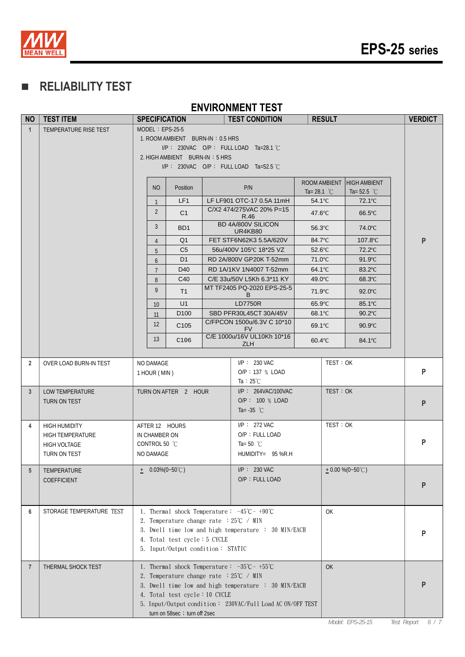

# **RELIABILITY TEST**

#### **ENVIRONMENT TEST**

| <b>NO</b>      | <b>TEST ITEM</b>             |                            | <b>SPECIFICATION</b>                                   | <b>TEST CONDITION</b>                                                        |                            | <b>RESULT</b> |                      | <b>VERDICT</b>     |
|----------------|------------------------------|----------------------------|--------------------------------------------------------|------------------------------------------------------------------------------|----------------------------|---------------|----------------------|--------------------|
| $\overline{1}$ | TEMPERATURE RISE TEST        |                            | $MODEL : EPS-25-5$                                     |                                                                              |                            |               |                      |                    |
|                |                              |                            | 1. ROOM AMBIENT BURN-IN: 0.5 HRS                       |                                                                              |                            |               |                      |                    |
|                |                              |                            |                                                        | $I/P$ : 230VAC O/P: FULLLOAD Ta=28.1 °C                                      |                            |               |                      |                    |
|                |                              |                            | 2. HIGH AMBIENT BURN-IN: 5 HRS                         | I/P: 230VAC O/P: FULL LOAD Ta=52.5 °C                                        |                            |               |                      |                    |
|                |                              |                            |                                                        |                                                                              |                            |               |                      |                    |
|                |                              | <b>NO</b>                  | Position                                               | P/N                                                                          |                            | ROOM AMBIENT  | <b>HIGH AMBIENT</b>  |                    |
|                |                              |                            |                                                        | LF LF901 OTC-17 0.5A 11mH                                                    | Ta= 28.1 $^{\circ}$ C      |               | Ta= $52.5\text{ °C}$ |                    |
|                |                              | $\mathbf{1}$               | LF <sub>1</sub>                                        | C/X2 474/275VAC 20% P=15                                                     | $54.1^{\circ}$ C           |               | 72.1°C               |                    |
|                |                              | $\overline{2}$             | C <sub>1</sub>                                         | R.46                                                                         | $47.6^{\circ}$ C           |               | $66.5^{\circ}$ C     |                    |
|                |                              | 3                          | BD <sub>1</sub>                                        | BD 4A/800V SILICON<br>UR4KB80                                                | $56.3$ °C                  |               | 74.0°C               |                    |
|                |                              | $\overline{4}$             | Q <sub>1</sub>                                         | FET STF6N62K3 5.5A/620V                                                      | 84.7°C                     |               | 107.8°C              | P                  |
|                |                              | 5                          | C <sub>5</sub>                                         | 56u/400V 105°C 18*25 VZ                                                      | $52.6^{\circ}$ C           |               | 72.2°C               |                    |
|                |                              | 6                          | D <sub>1</sub>                                         | RD 2A/800V GP20K T-52mm                                                      | 71.0°C                     |               | $91.9^{\circ}$ C     |                    |
|                |                              | $7^{\circ}$                | D <sub>40</sub><br>C <sub>40</sub>                     | RD 1A/1KV 1N4007 T-52mm<br>C/E 33u/50V L5Kh 6.3*11 KY                        | $64.1^{\circ}$ C<br>49.0°C |               | 83.2°C<br>68.3°C     |                    |
|                |                              | 8<br>9                     | T <sub>1</sub>                                         | MT TF2405 PQ-2020 EPS-25-5                                                   | 71.9°C                     |               | $92.0^{\circ}$ C     |                    |
|                |                              | 10 <sup>°</sup>            | U1                                                     | B<br><b>LD7750R</b>                                                          | $65.9^{\circ}C$            |               | 85.1°C               |                    |
|                |                              | 11                         | D <sub>100</sub>                                       | SBD PFR30L45CT 30A/45V                                                       | 68.1°C                     |               | $90.2$ °C            |                    |
|                |                              | $12 \overline{ }$          | C <sub>105</sub>                                       | C/FPCON 1500u/6.3V C 10*10                                                   | 69.1°C                     |               | $90.9^{\circ}$ C     |                    |
|                |                              |                            |                                                        | <b>FV</b><br>C/E 1000u/16V UL10Kh 10*16                                      |                            |               |                      |                    |
|                |                              | 13                         | C106                                                   | ZLH                                                                          | $60.4$ °C                  |               | 84.1°C               |                    |
| $\overline{2}$ | OVER LOAD BURN-IN TEST       | NO DAMAGE                  |                                                        | $I/P$ : 230 VAC                                                              |                            | TEST: OK      |                      |                    |
|                |                              | 1 HOUR (MIN)               |                                                        | O/P: 137 % LOAD                                                              |                            |               |                      | $\mathsf{P}$       |
|                |                              |                            |                                                        | Ta : $25^{\circ}$ C                                                          |                            |               |                      |                    |
| 3              | LOW TEMPERATURE              |                            | TURN ON AFTER 2 HOUR                                   | $I/P$ : 264VAC/100VAC                                                        |                            | TEST: OK      |                      |                    |
|                | <b>TURN ON TEST</b>          |                            |                                                        | O/P: 100 % LOAD                                                              |                            |               |                      | P                  |
|                |                              |                            |                                                        | Ta= $-35$ °C                                                                 |                            |               |                      |                    |
| 4              | <b>HIGH HUMIDITY</b>         |                            | AFTER 12 HOURS                                         | $I/P$ : 272 VAC                                                              |                            | TEST: OK      |                      |                    |
|                | <b>HIGH TEMPERATURE</b>      | IN CHAMBER ON              |                                                        | O/P: FULL LOAD                                                               |                            |               |                      | P                  |
|                | HIGH VOLTAGE<br>TURN ON TEST | CONTROL 50 °C<br>NO DAMAGE |                                                        | Ta= 50 $^{\circ}$ C<br>HUMIDITY= 95 %R.H                                     |                            |               |                      |                    |
|                |                              |                            |                                                        |                                                                              |                            |               |                      |                    |
| 5              | TEMPERATURE                  |                            | $\pm$ 0.03%(0~50°C)                                    | $I/P$ : 230 VAC                                                              |                            |               | $+0.00\%$ (0~50°C)   |                    |
|                | COEFFICIENT                  |                            |                                                        | O/P: FULL LOAD                                                               |                            |               |                      | P                  |
|                |                              |                            |                                                        |                                                                              |                            |               |                      |                    |
| 6              | STORAGE TEMPERATURE TEST     |                            |                                                        | 1. Thermal shock Temperature: $-45^{\circ}\text{C} \sim +90^{\circ}\text{C}$ |                            | <b>OK</b>     |                      |                    |
|                |                              |                            | 2. Temperature change rate $:25^{\circ}\text{C}$ / MIN |                                                                              |                            |               |                      |                    |
|                |                              |                            |                                                        | 3. Dwell time low and high temperature : 30 MIN/EACH                         |                            |               |                      | P                  |
|                |                              |                            | 4. Total test cycle: 5 CYCLE                           |                                                                              |                            |               |                      |                    |
|                |                              |                            | 5. Input/Output condition: STATIC                      |                                                                              |                            |               |                      |                    |
| 7              | THERMAL SHOCK TEST           |                            |                                                        | 1. Thermal shock Temperature: $-35^{\circ}\text{C} \sim +55^{\circ}\text{C}$ |                            | <b>OK</b>     |                      |                    |
|                |                              |                            | 2. Temperature change rate $:25^{\circ}\text{C}$ / MIN |                                                                              |                            |               |                      |                    |
|                |                              |                            |                                                        | 3. Dwell time low and high temperature : 30 MIN/EACH                         |                            |               |                      |                    |
|                |                              |                            | 4. Total test cycle: 10 CYCLE                          |                                                                              |                            |               |                      |                    |
|                |                              |                            | turn on 58sec; turn off 2sec                           | 5. Input/Output condition: 230VAC/Full Load AC ON/OFF TEST                   |                            |               |                      |                    |
|                |                              |                            |                                                        |                                                                              |                            |               | Model: EPS-25-15     | Test Report<br>6/7 |